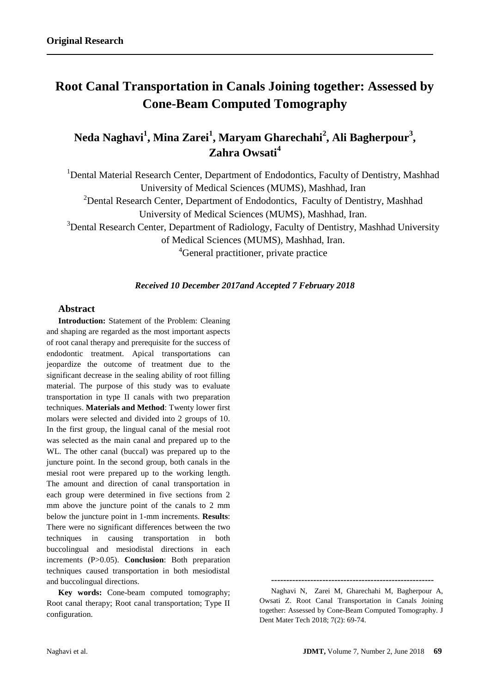# **Root Canal Transportation in Canals Joining together: Assessed by Cone-Beam Computed Tomography**

# **Neda Naghavi<sup>1</sup> , Mina Zarei<sup>1</sup> , Maryam Gharechahi<sup>2</sup> , Ali Bagherpour<sup>3</sup> , Zahra Owsati<sup>4</sup>**

<sup>1</sup> Dental Material Research Center, Department of Endodontics, Faculty of Dentistry, Mashhad University of Medical Sciences (MUMS), Mashhad, Iran <sup>2</sup>Dental Research Center, Department of Endodontics, Faculty of Dentistry, Mashhad University of Medical Sciences (MUMS), Mashhad, Iran.

<sup>3</sup>Dental Research Center, Department of Radiology, Faculty of Dentistry, Mashhad University of Medical Sciences (MUMS), Mashhad, Iran.

<sup>4</sup>General practitioner, private practice

## *Received 10 December 2017and Accepted 7 February 2018*

# **Abstract**

**Introduction:** Statement of the Problem: Cleaning and shaping are regarded as the most important aspects of root canal therapy and prerequisite for the success of endodontic treatment. Apical transportations can jeopardize the outcome of treatment due to the significant decrease in the sealing ability of root filling material. The purpose of this study was to evaluate transportation in type II canals with two preparation techniques. **Materials and Method**: Twenty lower first molars were selected and divided into 2 groups of 10. In the first group, the lingual canal of the mesial root was selected as the main canal and prepared up to the WL. The other canal (buccal) was prepared up to the juncture point. In the second group, both canals in the mesial root were prepared up to the working length. The amount and direction of canal transportation in each group were determined in five sections from 2 mm above the juncture point of the canals to 2 mm below the juncture point in 1-mm increments. **Results**: There were no significant differences between the two techniques in causing transportation in both buccolingual and mesiodistal directions in each increments (P>0.05). **Conclusion**: Both preparation techniques caused transportation in both mesiodistal and buccolingual directions.

**Key words:** Cone-beam computed tomography; Root canal therapy; Root canal transportation; Type II configuration.

**------------------------------------------------------**

Naghavi N, Zarei M, Gharechahi M, Bagherpour A, Owsati Z. Root Canal Transportation in Canals Joining together: Assessed by Cone-Beam Computed Tomography. J Dent Mater Tech 2018; 7(2): 69-74.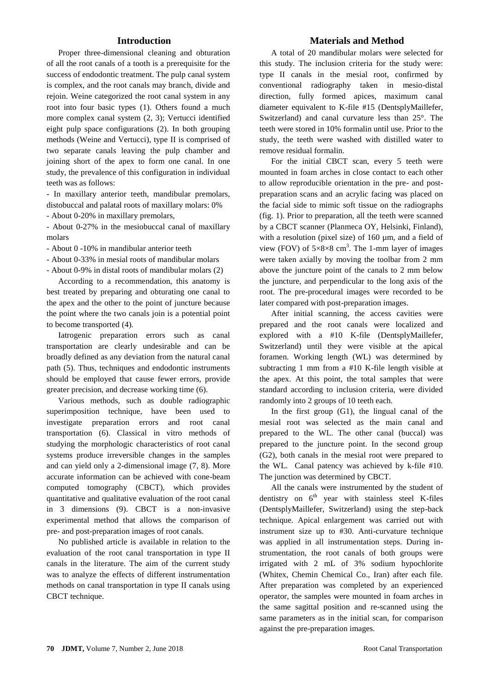#### **Introduction**

Proper three-dimensional cleaning and obturation of all the root canals of a tooth is a prerequisite for the success of endodontic treatment. The pulp canal system is complex, and the root canals may branch, divide and rejoin. Weine categorized the root canal system in any root into four basic types (1). Others found a much more complex canal system (2, 3); Vertucci identified eight pulp space configurations (2). In both grouping methods (Weine and Vertucci), type II is comprised of two separate canals leaving the pulp chamber and joining short of the apex to form one canal. In one study, the prevalence of this configuration in individual teeth was as follows:

- In maxillary anterior teeth, mandibular premolars, distobuccal and palatal roots of maxillary molars: 0%

- About 0-20% in maxillary premolars,

- About 0-27% in the mesiobuccal canal of maxillary molars

- About 0 -10% in mandibular anterior teeth

- About 0-33% in mesial roots of mandibular molars

- About 0-9% in distal roots of mandibular molars (2)

According to a recommendation, this anatomy is best treated by preparing and obturating one canal to the apex and the other to the point of juncture because the point where the two canals join is a potential point to become transported (4).

Iatrogenic preparation errors such as canal transportation are clearly undesirable and can be broadly defined as any deviation from the natural canal path (5). Thus, techniques and endodontic instruments should be employed that cause fewer errors, provide greater precision, and decrease working time (6).

Various methods, such as double radiographic superimposition technique, have been used to investigate preparation errors and root canal transportation (6). Classical in vitro methods of studying the morphologic characteristics of root canal systems produce irreversible changes in the samples and can yield only a 2-dimensional image (7, 8). More accurate information can be achieved with cone-beam computed tomography (CBCT), which provides quantitative and qualitative evaluation of the root canal in 3 dimensions (9). CBCT is a non-invasive experimental method that allows the comparison of pre- and post-preparation images of root canals.

No published article is available in relation to the evaluation of the root canal transportation in type II canals in the literature. The aim of the current study was to analyze the effects of different instrumentation methods on canal transportation in type II canals using CBCT technique.

#### **Materials and Method**

A total of 20 mandibular molars were selected for this study. The inclusion criteria for the study were: type II canals in the mesial root, confirmed by conventional radiography taken in mesio-distal direction, fully formed apices, maximum canal diameter equivalent to K-file #15 (DentsplyMaillefer, Switzerland) and canal curvature less than 25°. The teeth were stored in 10% formalin until use. Prior to the study, the teeth were washed with distilled water to remove residual formalin.

For the initial CBCT scan, every 5 teeth were mounted in foam arches in close contact to each other to allow reproducible orientation in the pre- and postpreparation scans and an acrylic facing was placed on the facial side to mimic soft tissue on the radiographs (fig. 1). Prior to preparation, all the teeth were scanned by a CBCT scanner (Planmeca OY, Helsinki, Finland), with a resolution (pixel size) of 160  $\mu$ m, and a field of view (FOV) of  $5\times8\times8$  cm<sup>3</sup>. The 1-mm layer of images were taken axially by moving the toolbar from 2 mm above the juncture point of the canals to 2 mm below the juncture, and perpendicular to the long axis of the root. The pre-procedural images were recorded to be later compared with post-preparation images.

After initial scanning, the access cavities were prepared and the root canals were localized and explored with a #10 K-file (DentsplyMaillefer, Switzerland) until they were visible at the apical foramen. Working length (WL) was determined by subtracting 1 mm from a #10 K-file length visible at the apex. At this point, the total samples that were standard according to inclusion criteria, were divided randomly into 2 groups of 10 teeth each.

In the first group (G1), the lingual canal of the mesial root was selected as the main canal and prepared to the WL. The other canal (buccal) was prepared to the juncture point. In the second group (G2), both canals in the mesial root were prepared to the WL. Canal patency was achieved by k-file #10. The junction was determined by CBCT.

All the canals were instrumented by the student of dentistry on  $6<sup>th</sup>$  year with stainless steel K-files (DentsplyMaillefer, Switzerland) using the step-back technique. Apical enlargement was carried out with instrument size up to #30. Anti-curvature technique was applied in all instrumentation steps. During instrumentation, the root canals of both groups were irrigated with 2 mL of 3% sodium hypochlorite (Whitex, Chemin Chemical Co., Iran) after each file. After preparation was completed by an experienced operator, the samples were mounted in foam arches in the same sagittal position and re-scanned using the same parameters as in the initial scan, for comparison against the pre-preparation images.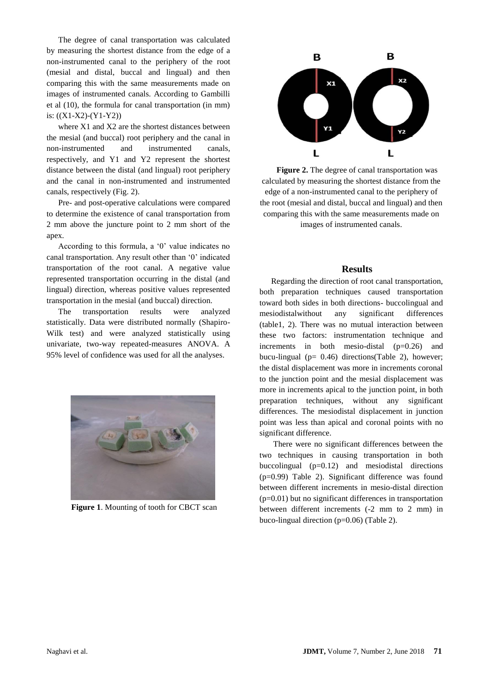The degree of canal transportation was calculated by measuring the shortest distance from the edge of a non-instrumented canal to the periphery of the root (mesial and distal, buccal and lingual) and then comparing this with the same measurements made on images of instrumented canals. According to Gambilli et al (10), the formula for canal transportation (in mm) is:  $((X1-X2)-(Y1-Y2))$ 

where X1 and X2 are the shortest distances between the mesial (and buccal) root periphery and the canal in non-instrumented and instrumented canals, respectively, and Y1 and Y2 represent the shortest distance between the distal (and lingual) root periphery and the canal in non-instrumented and instrumented canals, respectively (Fig. 2).

Pre- and post-operative calculations were compared to determine the existence of canal transportation from 2 mm above the juncture point to 2 mm short of the apex.

According to this formula, a '0' value indicates no canal transportation. Any result other than '0' indicated transportation of the root canal. A negative value represented transportation occurring in the distal (and lingual) direction, whereas positive values represented transportation in the mesial (and buccal) direction.

The transportation results were analyzed statistically. Data were distributed normally (Shapiro-Wilk test) and were analyzed statistically using univariate, two-way repeated-measures ANOVA. A 95% level of confidence was used for all the analyses.



**Figure 1**. Mounting of tooth for CBCT scan



**Figure 2.** The degree of canal transportation was calculated by measuring the shortest distance from the edge of a non-instrumented canal to the periphery of the root (mesial and distal, buccal and lingual) and then comparing this with the same measurements made on images of instrumented canals.

#### **Results**

Regarding the direction of root canal transportation, both preparation techniques caused transportation toward both sides in both directions- buccolingual and mesiodistalwithout any significant differences (table1, 2). There was no mutual interaction between these two factors: instrumentation technique and increments in both mesio-distal  $(p=0.26)$  and bucu-lingual ( $p= 0.46$ ) directions(Table 2), however; the distal displacement was more in increments coronal to the junction point and the mesial displacement was more in increments apical to the junction point, in both preparation techniques, without any significant differences. The mesiodistal displacement in junction point was less than apical and coronal points with no significant difference.

There were no significant differences between the two techniques in causing transportation in both buccolingual  $(p=0.12)$  and mesiodistal directions (p=0.99) Table 2). Significant difference was found between different increments in mesio-distal direction (p=0.01) but no significant differences in transportation between different increments (-2 mm to 2 mm) in buco-lingual direction (p=0.06) (Table 2).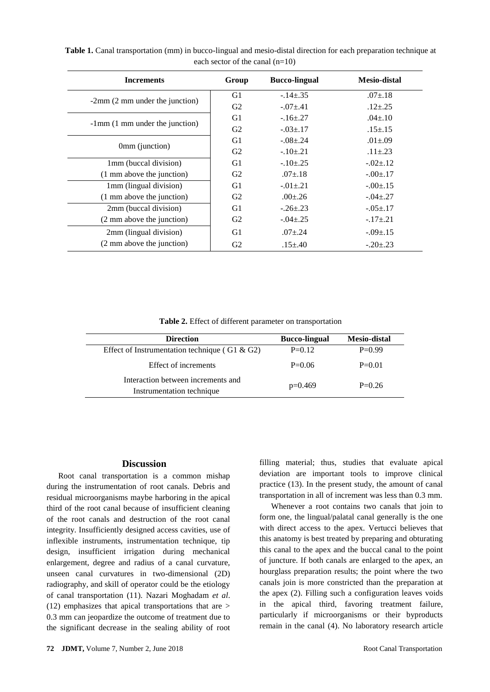| <b>Increments</b>                           | Group          | <b>Bucco-lingual</b> | <b>Mesio-distal</b> |
|---------------------------------------------|----------------|----------------------|---------------------|
| $-2$ mm (2 mm under the junction)           | G1             | $-.14 \pm .35$       | $.07{\pm}.18$       |
|                                             | G <sub>2</sub> | $-.07 \pm .41$       | $.12{\pm} .25$      |
| $-1$ mm $(1 \text{ mm}$ under the junction) | G1             | $-.16 \pm .27$       | $.04 \pm .10$       |
|                                             | G2             | $-0.03 \pm 0.17$     | $.15{\pm}.15$       |
| 0mm (junction)                              | G1             | $-.08 \pm .24$       | $.01 \pm .09$       |
|                                             | G2             | $-.10{\pm}.21$       | $.11 \pm .23$       |
| 1mm (buccal division)                       | G1             | $-.10 \pm .25$       | $-.02 \pm .12$      |
| (1 mm above the junction)                   | G2             | $.07 + .18$          | $-.00 \pm .17$      |
| 1mm (lingual division)                      | G1             | $-0.01 \pm 0.21$     | $-.00 \pm .15$      |
| (1 mm above the junction)                   | G <sub>2</sub> | $.00 \pm .26$        | $-.04 \pm .27$      |
| 2mm (buccal division)                       | G1             | $-.26 \pm .23$       | $-.05 \pm .17$      |
| (2 mm above the junction)                   | G2             | $-.04 \pm .25$       | $-.17 \pm .21$      |
| 2mm (lingual division)                      | G1             | $.07 + .24$          | $-.09 \pm .15$      |
| (2 mm above the junction)                   | G <sub>2</sub> | $.15{\pm}0.40$       | $-.20 \pm .23$      |

**Table 1.** Canal transportation (mm) in bucco-lingual and mesio-distal direction for each preparation technique at each sector of the canal (n=10)

**Table 2.** Effect of different parameter on transportation

| <b>Direction</b>                                                | <b>Bucco-lingual</b> | <b>Mesio-distal</b> |
|-----------------------------------------------------------------|----------------------|---------------------|
| Effect of Instrumentation technique (G1 & G2)                   | $P=0.12$             | $P=0.99$            |
| Effect of increments                                            | $P=0.06$             | $P=0.01$            |
| Interaction between increments and<br>Instrumentation technique | $p=0.469$            | $P=0.26$            |

#### **Discussion**

Root canal transportation is a common mishap during the instrumentation of root canals. Debris and residual microorganisms maybe harboring in the apical third of the root canal because of insufficient cleaning of the root canals and destruction of the root canal integrity. Insufficiently designed access cavities, use of inflexible instruments, instrumentation technique, tip design, insufficient irrigation during mechanical enlargement, degree and radius of a canal curvature, unseen canal curvatures in two-dimensional (2D) radiography, and skill of operator could be the etiology of canal transportation (11). Nazari Moghadam *et al*. [\(12\)](https://www.ncbi.nlm.nih.gov/pmc/articles/PMC5026112/#ref5) emphasizes that apical transportations that are > 0.3 mm can jeopardize the outcome of treatment due to the significant decrease in the sealing ability of root

**72 JDMT,** Volume 7, Number 2, June 2018 Root Canal Transportation

filling material; thus, studies that evaluate apical deviation are important tools to improve clinical practice [\(13\)](https://www.ncbi.nlm.nih.gov/pmc/articles/PMC5026112/#ref22). In the present study, the amount of canal transportation in all of increment was less than 0.3 mm.

Whenever a root contains two canals that join to form one, the lingual/palatal canal generally is the one with direct access to the apex. Vertucci believes that this anatomy is best treated by preparing and obturating this canal to the apex and the buccal canal to the point of juncture. If both canals are enlarged to the apex, an hourglass preparation results; the point where the two canals join is more constricted than the preparation at the apex (2). Filling such a configuration leaves voids in the apical third, favoring treatment failure, particularly if microorganisms or their byproducts remain in the canal (4). No laboratory research article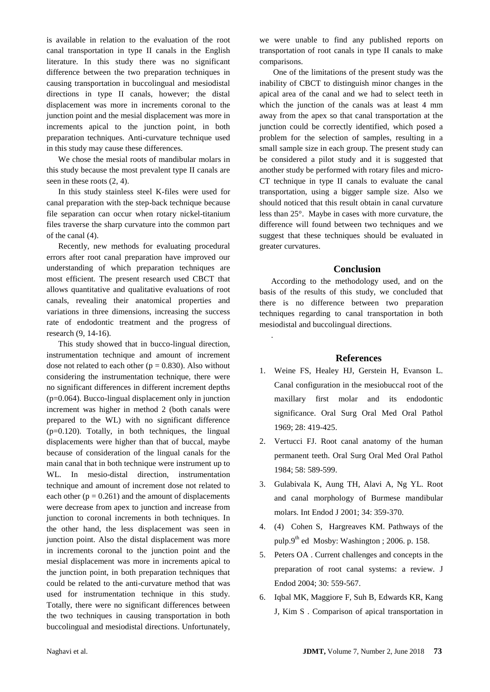is available in relation to the evaluation of the root canal transportation in type II canals in the English literature. In this study there was no significant difference between the two preparation techniques in causing transportation in buccolingual and mesiodistal directions in type II canals, however; the distal displacement was more in increments coronal to the junction point and the mesial displacement was more in increments apical to the junction point, in both preparation techniques. Anti-curvature technique used in this study may cause these differences.

We chose the mesial roots of mandibular molars in this study because the most prevalent type II canals are seen in these roots (2, 4).

In this study stainless steel K-files were used for canal preparation with the step-back technique because file separation can occur when rotary nickel-titanium files traverse the sharp curvature into the common part of the canal (4).

Recently, new methods for evaluating procedural errors after root canal preparation have improved our understanding of which preparation techniques are most efficient. The present research used CBCT that allows quantitative and qualitative evaluations of root canals, revealing their anatomical properties and variations in three dimensions, increasing the success rate of endodontic treatment and the progress of research (9, 14-16).

This study showed that in bucco-lingual direction, instrumentation technique and amount of increment dose not related to each other ( $p = 0.830$ ). Also without considering the instrumentation technique, there were no significant differences in different increment depths (p=0.064). Bucco-lingual displacement only in junction increment was higher in method 2 (both canals were prepared to the WL) with no significant difference (p=0.120). Totally, in both techniques, the lingual displacements were higher than that of buccal, maybe because of consideration of the lingual canals for the main canal that in both technique were instrument up to WL. In mesio-distal direction, instrumentation technique and amount of increment dose not related to each other ( $p = 0.261$ ) and the amount of displacements were decrease from apex to junction and increase from junction to coronal increments in both techniques. In the other hand, the less displacement was seen in junction point. Also the distal displacement was more in increments coronal to the junction point and the mesial displacement was more in increments apical to the junction point, in both preparation techniques that could be related to the anti-curvature method that was used for instrumentation technique in this study. Totally, there were no significant differences between the two techniques in causing transportation in both buccolingual and mesiodistal directions. Unfortunately,

we were unable to find any published reports on transportation of root canals in type II canals to make comparisons.

One of the limitations of the present study was the inability of CBCT to distinguish minor changes in the apical area of the canal and we had to select teeth in which the junction of the canals was at least 4 mm away from the apex so that canal transportation at the junction could be correctly identified, which posed a problem for the selection of samples, resulting in a small sample size in each group. The present study can be considered a pilot study and it is suggested that another study be performed with rotary files and micro-CT technique in type II canals to evaluate the canal transportation, using a bigger sample size. Also we should noticed that this result obtain in canal curvature less than 25°. Maybe in cases with more curvature, the difference will found between two techniques and we suggest that these techniques should be evaluated in greater curvatures.

#### **Conclusion**

According to the methodology used, and on the basis of the results of this study, we concluded that there is no difference between two preparation techniques regarding to canal transportation in both mesiodistal and buccolingual directions.

.

## **References**

- 1. Weine FS, Healey HJ, Gerstein H, Evanson L. Canal configuration in the mesiobuccal root of the maxillary first molar and its endodontic significance. Oral Surg Oral Med Oral Pathol 1969; 28: 419-425.
- 2. Vertucci FJ. Root canal anatomy of the human permanent teeth. Oral Surg Oral Med Oral Pathol 1984; 58: 589-599.
- 3. Gulabivala K, Aung TH, Alavi A, Ng YL. Root and canal morphology of Burmese mandibular molars. Int Endod J 2001; 34: 359-370.
- 4. (4) [Cohen](https://www.google.com/search?tbo=p&tbm=bks&q=inauthor:%22Stephen+Cohen%22&source=gbs_metadata_r&cad=2) S, [Hargreaves](https://www.google.com/search?tbo=p&tbm=bks&q=inauthor:%22Kenneth+M.+Hargreaves%22&source=gbs_metadata_r&cad=2) KM. Pathways of the pulp.9<sup>th</sup> ed Mosby: Washington ; 2006. p. 158.
- 5. Peters OA . Current challenges and concepts in the preparation of root canal systems: a review. J Endod 2004; 30: 559-567.
- 6. Iqbal MK, Maggiore F, Suh B, Edwards KR, Kang J, Kim S . Comparison of apical transportation in